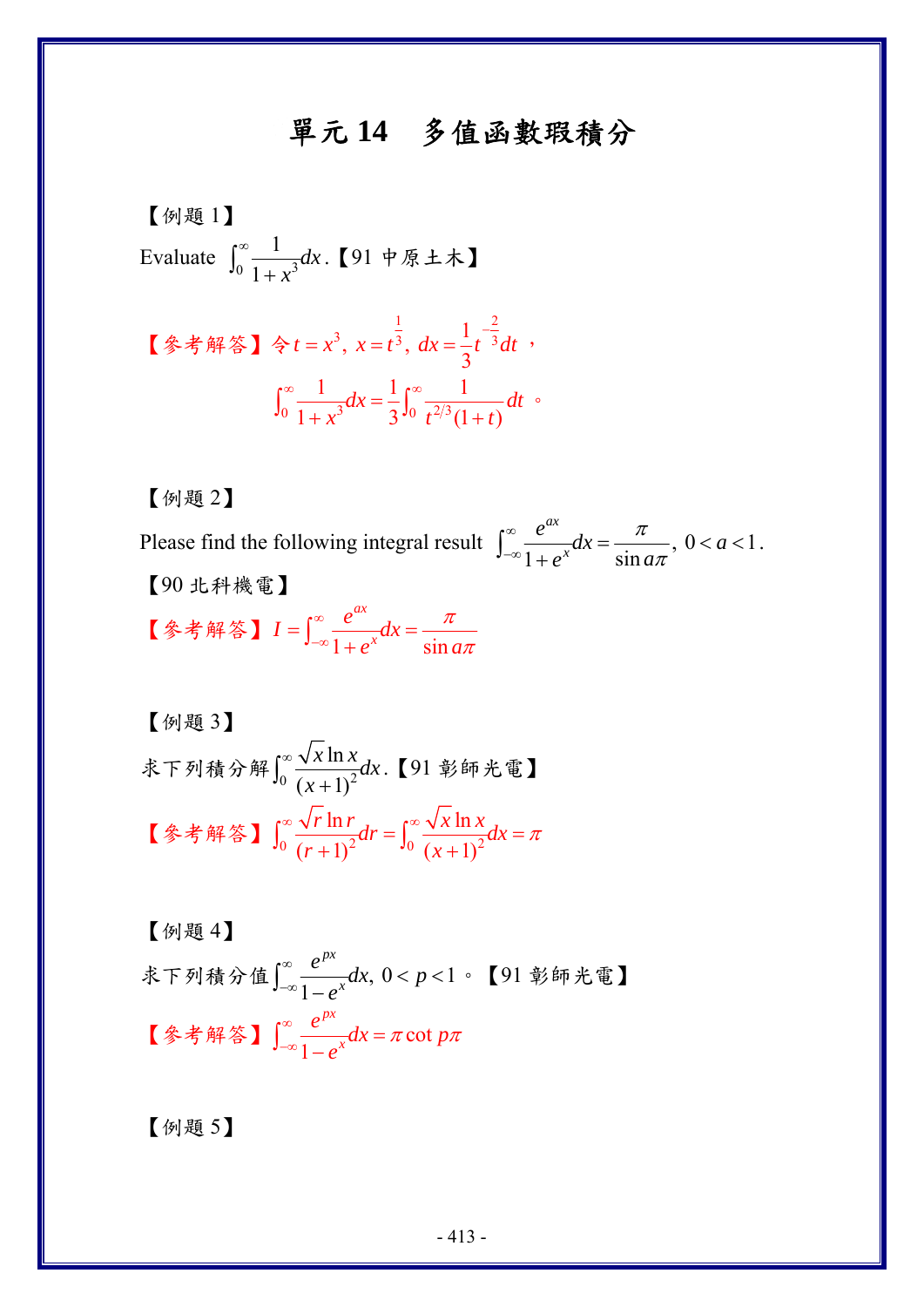## 單元 **14** 多值函數瑕積分

$$
\begin{bmatrix} \text{[$\varnothing$} \boxplus \text{1} \\ \text{Evaluate } \int_0^\infty \frac{1}{1+x^3} dx. \quad \text{[91] } \forall \mathbb{R} \pm \mathbb{1} \end{bmatrix}
$$

\n
$$
\left[ \frac{2}{3} \cdot \frac{1}{3} \cdot \frac{1}{3} \cdot \frac{1}{3} \cdot \frac{1}{3} \cdot dx \right] = \frac{1}{3} t^{-3} dt
$$
\n

\n\n $\int_{0}^{\infty} \frac{1}{1 + x^{3}} dx = \frac{1}{3} \int_{0}^{\infty} \frac{1}{t^{2/3} (1 + t)} dt$ \n

【例題 2】

Please find the following integral result  $\int_{-\infty}^{\infty} \frac{e^{-x}}{1 + e^{x}} dx = \frac{\pi}{\sin a\pi}, 0 < a < 1$ *ax*  $e^{ax}$ <br>  $\frac{e^{ax}}{ax}dx = \frac{\pi}{\sin a\pi}, \quad 0 < a$  $e^{x}$   $\sin a$ π π  $\int_{-\infty}^{\infty} \frac{e^{ax}}{1+e^{x}} dx = \frac{\pi}{\sin a\pi}, 0 < a < 1.$ 【90 北科機電】

【参考解答】  $I = \int_{-\infty}^{\infty} \frac{e^{x}}{1 + e^{x}} dx = \frac{7}{\sin x}$ *ax*  $I = \int_{-\infty}^{\infty} \frac{e^{ax}}{1 + e^{x}} dx$  $e^{x}$   $\sin a$ π π  $=\int_{-\infty}^{\infty}\frac{e^{ax}}{1+e^{x}}dx=$ 

\n
$$
\left[ \text{MH} \, 3 \right]
$$
\n
$$
\text{RF} \, \text{MH} \, \text{M} \, \text{M} \, \text{M} \, \text{M} \, \text{M} \, \text{M} \, \text{M} \, \text{M} \, \text{M} \, \text{M} \, \text{M} \, \text{M} \, \text{M} \, \text{M} \, \text{M} \, \text{M} \, \text{M} \, \text{M} \, \text{M} \, \text{M} \, \text{M} \, \text{M} \, \text{M} \, \text{M} \, \text{M} \, \text{M} \, \text{M} \, \text{M} \, \text{M} \, \text{M} \, \text{M} \, \text{M} \, \text{M} \, \text{M} \, \text{M} \, \text{M} \, \text{M} \, \text{M} \, \text{M} \, \text{M} \, \text{M} \, \text{M} \, \text{M} \, \text{M} \, \text{M} \, \text{M} \, \text{M} \, \text{M} \, \text{M} \, \text{M} \, \text{M} \, \text{M} \, \text{M} \, \text{M} \, \text{M} \, \text{M} \, \text{M} \, \text{M} \, \text{M} \, \text{M} \, \text{M} \, \text{M} \, \text{M} \, \text{M} \, \text{M} \, \text{M} \, \text{M} \, \text{M} \, \text{M} \, \text{M} \, \text{M} \, \text{M} \, \text{M} \, \text{M} \, \text{M} \, \text{M} \, \text{M} \, \text{M} \, \text{M} \, \text{M} \, \text{M} \, \text{M} \, \text{M} \, \text{M} \, \text{M} \, \text{M} \, \text{M} \, \text{M} \, \text{M} \, \text{M} \, \text{M} \, \text{M} \, \text{M} \, \text{M} \, \text{M} \, \text{M} \, \text{M} \, \text{M} \, \text{M} \, \text{M} \, \text{M} \, \text{M} \, \text{
$$

【例題 4】 求下列積分值 $\int_{-\infty}^{\infty} \frac{e^{-x}}{1-e^{x}} dx$ , 0 < p < 1 *px*  $\frac{e^{px}}{x}dx, 0 < p$ *e*  $\int_{-\infty}^{\infty} \frac{e^{px}}{1-e^x} dx$ ,  $0 < p < 1$  。【91 彰師光電】 【参考解答】  $\left[\begin{array}{cc} x & \epsilon \\ \hline \end{array}\right]$   $\frac{c}{x}$   $dx = \pi \cot$ 1 *px*  $\frac{e^{px}}{x}dx = \pi \cot p$ *e*  $\int_{-\infty}^{\infty} \frac{e^{px}}{1-e^{x}} dx = \pi \cot px$ 

【例題 5】